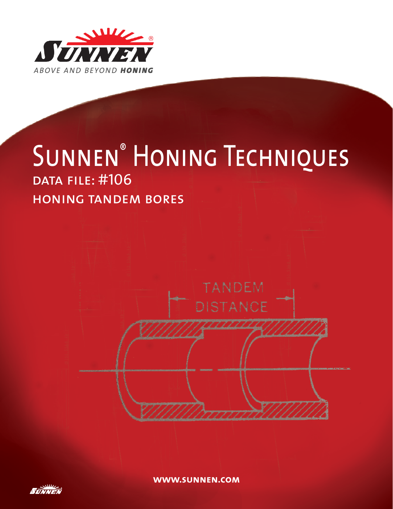

# SUNNEN<sup>®</sup> HONING TECHNIQUES data file: #106 honing tandem bores



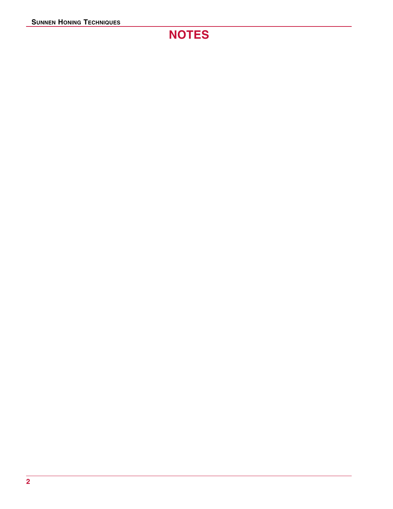## **NOTES**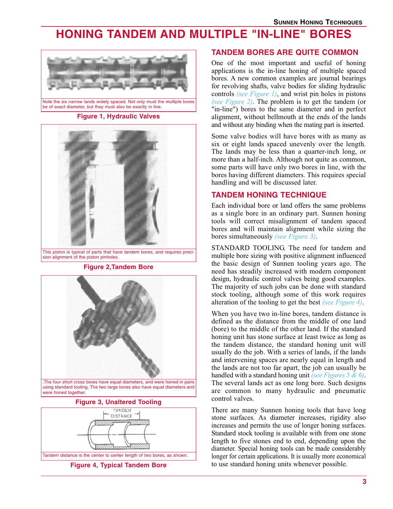### **HONING TANDEM AND MULTIPLE "IN-LINE" BORES**



Note the six narrow lands widely spaced. Not only must the multiple bores be of exact diameter, but they must also be exactly in line.

**Figure 1, Hydraulic Valves**



This piston is typical of parts that have tandem bores, and requires precision alignment of the piston pinholes

**Figure 2,Tandem Bore**



.The four short cross bores have equal diameters, and were honed in pairs using standard tooling. The two large bores also have equal diameters and were honed together.

#### **Figure 3, Unaltered Tooling**



#### **TANDEM BORES ARE QUITE COMMON**

One of the most important and useful of honing applications is the in-line honing of multiple spaced bores. A new common examples are journal bearings for revolving shafts, valve bodies for sliding hydraulic controls *(see Figure 1)*, and wrist pin holes in pistons *(see Figure 2)*. The problem is to get the tandem (or "in-line") bores to the same diameter and in perfect alignment, without bellmouth at the ends of the lands and without any binding when the mating part is inserted.

Some valve bodies will have bores with as many as six or eight lands spaced unevenly over the length. The lands may be less than a quarter-inch long, or more than a half-inch. Although not quite as common, some parts will have only two bores in line, with the bores having different diameters. This requires special handling and will be discussed later.

#### **TANDEM HONING TECHNIQUE**

Each individual bore or land offers the same problems as a single bore in an ordinary part. Sunnen honing tools will correct misalignment of tandem spaced bores and will maintain alignment while sizing the bores simultaneously *(see Figure 3)*.

STANDARD TOOLING. The need for tandem and multiple bore sizing with positive alignment influenced the basic design of Sunnen tooling years ago. The need has steadily increased with modern component design, hydraulic control valves being good examples. The majority of such jobs can be done with standard stock tooling, although some of this work requires alteration of the tooling to get the best *(see Figure 4)*.

When you have two in-line bores, tandem distance is defined as the distance from the middle of one land (bore) to the middle of the other land. If the standard honing unit has stone surface at least twice as long as the tandem distance, the standard honing unit will usually do the job. With a series of lands, if the lands and intervening spaces are nearly equal in length and the lands are not too far apart, the job can usually be handled with a standard honing unit *(see Figures 5 & 6)*. The several lands act as one long bore. Such designs are common to many hydraulic and pneumatic control valves.

There are many Sunnen honing tools that have long stone surfaces. As diameter increases, rigidity also increases and permits the use of longer honing surfaces. Standard stock tooling is available with from one stone length to five stones end to end, depending upon the diameter. Special honing tools can be made considerably longer for certain applications. It is usually more economical to use standard honing units whenever possible.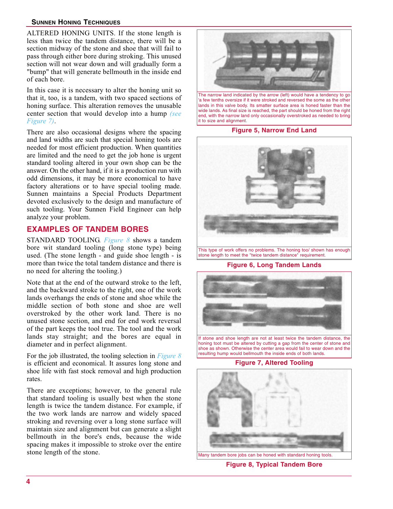#### **SUNNEN HONING TECHNIQUES**

ALTERED HONING UNITS. If the stone length is less than twice the tandem distance, there will be a section midway of the stone and shoe that will fail to pass through either bore during stroking. This unused section will not wear down and will gradually form a "bump" that will generate bellmouth in the inside end of each bore.

In this case it is necessary to alter the honing unit so that it, too, is a tandem, with two spaced sections of honing surface. This alteration removes the unusable center section that would develop into a hump *(see Figure 7)*.

There are also occasional designs where the spacing and land widths are such that special honing tools are needed for most efficient production. When quantities are limited and the need to get the job hone is urgent standard tooling altered in your own shop can be the answer. On the other hand, if it is a production run with odd dimensions, it may be more economical to have factory alterations or to have special tooling made. Sunnen maintains a Special Products Department devoted exclusively to the design and manufacture of such tooling. Your Sunnen Field Engineer can help analyze your problem.

#### **EXAMPLES OF TANDEM BORES**

STANDARD TOOLING. *Figure 8* shows a tandem bore wit standard tooling (long stone type) being used. (The stone length - and guide shoe length - is more than twice the total tandem distance and there is no need for altering the tooling.)

Note that at the end of the outward stroke to the left, and the backward stroke to the right, one of the work lands overhangs the ends of stone and shoe while the middle section of both stone and shoe are well overstroked by the other work land. There is no unused stone section, and end for end work reversal of the part keeps the tool true. The tool and the work lands stay straight; and the bores are equal in diameter and in perfect alignment.

For the job illustrated, the tooling selection in *Figure 8* is efficient and economical. It assures long stone and shoe life with fast stock removal and high production rates.

There are exceptions; however, to the general rule that standard tooling is usually best when the stone length is twice the tandem distance. For example, if the two work lands are narrow and widely spaced stroking and reversing over a long stone surface will maintain size and alignment but can generate a slight bellmouth in the bore's ends, because the wide spacing makes it impossible to stroke over the entire stone length of the stone.



**Figure 5, Narrow End Land**



This type of work offers no problems. The honing too/ shown has enough stone length to meet the "twice tandem distance" requirement.

**Figure 6, Long Tandem Lands**



If stone and shoe length are not at least twice the tandem distance, the honing toot must be altered by cutting a gap from the center of stone and shoe as shown. Otherwise the center area would fail to wear down and the resulting hump would bellmouth the inside ends of both lands.

#### **Figure 7, Altered Tooling**



**Figure 8, Typical Tandem Bore**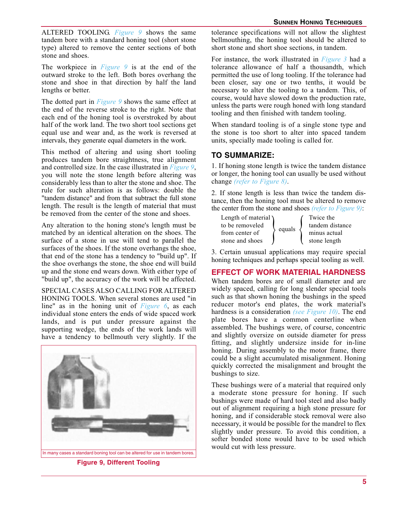ALTERED TOOLING. *Figure 9* shows the same tandem bore with a standard honing tool (short stone type) altered to remove the center sections of both stone and shoes.

The workpiece in *Figure 9* is at the end of the outward stroke to the left. Both bores overhang the stone and shoe in that direction by half the land lengths or better.

The dotted part in *Figure 9* shows the same effect at the end of the reverse stroke to the right. Note that each end of the honing tool is overstroked by about half of the work land. The two short tool sections get equal use and wear and, as the work is reversed at intervals, they generate equal diameters in the work.

This method of altering and using short tooling produces tandem bore straightness, true alignment and controlled size. In the case illustrated in *Figure 9*, you will note the stone length before altering was considerably less than to alter the stone and shoe. The rule for such alteration is as follows: double the "tandem distance" and from that subtract the full stone length. The result is the length of material that must be removed from the center of the stone and shoes.

Any alteration to the honing stone's length must be matched by an identical alteration on the shoes. The surface of a stone in use will tend to parallel the surfaces of the shoes. If the stone overhangs the shoe, that end of the stone has a tendency to "build up". If the shoe overhangs the stone, the shoe end will build up and the stone end wears down. With either type of "build up", the accuracy of the work will be affected.

SPECIAL CASES ALSO CALLING FOR ALTERED HONING TOOLS. When several stones are used "in line" as in the honing unit of *Figure 6*, as each individual stone enters the ends of wide spaced work lands, and is put under pressure against the supporting wedge, the ends of the work lands will have a tendency to bellmouth very slightly. If the



**Figure 9, Different Tooling**

tolerance specifications will not allow the slightest bellmouthing, the honing tool should be altered to short stone and short shoe sections, in tandem.

For instance, the work illustrated in *Figure 3* had a tolerance allowance of half a thousandth, which permitted the use of long tooling. If the tolerance had been closer, say one or two tenths, it would be necessary to alter the tooling to a tandem. This, of course, would have slowed down the production rate, unless the parts were rough honed with long standard tooling and then finished with tandem tooling.

When standard tooling is of a single stone type and the stone is too short to alter into spaced tandem units, specially made tooling is called for.

#### **TO SUMMARIZE:**

1. If honing stone length is twice the tandem distance or longer, the honing tool can usually be used without change *(refer to Figure 8)*.

2. If stone length is less than twice the tandem distance, then the honing tool must be altered to remove the center from the stone and shoes *(refer to Figure 9)*:

| Length of material $\lambda$ | equals | Twice the       |
|------------------------------|--------|-----------------|
| to be removeled              |        | tandem distance |
| from center of               |        | minus actual    |
| stone and shoes              |        | stone length    |

3. Certain unusual applications may require special honing techniques and perhaps special tooling as well.

#### **EFFECT OF WORK MATERIAL HARDNESS**

When tandem bores are of small diameter and are widely spaced, calling for long slender special tools such as that shown honing the bushings in the speed reducer motor's end plates, the work material's hardness is a consideration (see Figure 10). The end hardness is a consideration *(see Figure 10)*. The end plate bores have a common centerline when assembled. The bushings were, of course, concentric and slightly oversize on outside diameter for press fitting, and slightly undersize inside for in-line honing. During assembly to the motor frame, there could be a slight accumulated misalignment. Honing quickly corrected the misalignment and brought the bushings to size.

These bushings were of a material that required only a moderate stone pressure for honing. If such bushings were made of hard tool steel and also badly out of alignment requiring a high stone pressure for honing, and if considerable stock removal were also necessary, it would be possible for the mandrel to flex slightly under pressure. To avoid this condition, a softer bonded stone would have to be used which would cut with less pressure.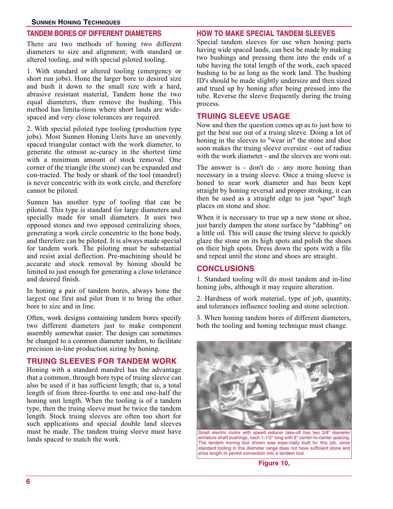#### **TANDEM BORES OF DIFFERENT DIAMETERS**

There are two methods of honing two different diameters to size and alignment; with standard or altered tooling, and with special piloted tooling.

1. With standard or altered tooling (emergency or short run jobs). Hone the larger bore to desired size and bush it down to the small size with a hard, abrasive resistant material, Tandem hone the two equal diameters, then remove the bushing. This method has limita-tions where short lands are widespaced and very close tolerances are required.

2. With special piloted type tooling (production type jobs). Most Sunnen Honing Units have an unevenly spaced triangular contact with the work diameter, to generate the utmost ac-curacy in the shortest time with a minimum amount of stock removal. One corner of the triangle (the stone) can be expanded and con-tracted. The body or shank of the tool (mandrel) is never concentric with its work circle, and therefore cannot be piloted.

Sunnen has another type of tooling that can be piloted. This type is standard for large diameters and specially made for small diameters. It uses two opposed stones and two opposed centralizing shoes, generating a work circle concentric to the hone body, and therefore can be piloted. It is always made special for tandem work. The piloting must be substantial and resist axial deflection. Pre-machining should be accurate and stock removal by honing should be limited to just enough for generating a close tolerance and desired finish.

In honing a pair of tandem bores, always hone the largest one first and pilot from it to bring the other bore to size and in line.

Often, work designs containing tandem bores specify two different diameters just to make component assembly somewhat easier. The design can sometimes be changed to a common diameter tandem, to facilitate precision in-line production sizing by honing.

#### **TRUING SLEEVES FOR TANDEM WORK**

Honing with a standard mandrel has the advantage that a common, through bore type of truing sleeve can also be used if it has sufficient length; that is, a total length of from three-fourths to one and one-half the honing unit length. When the tooling is of a tandem type, then the truing sleeve must be twice the tandem length. Stock truing sleeves are often too short for such applications and special double land sleeves must be made. The tandem truing sleeve must have lands spaced to match the work.

#### **HOW TO MAKE SPECIAL TANDEM SLEEVES**

Special tandem sleeves for use when honing parts having wide spaced lands, can best be made by making two bushings and pressing them into the ends of a tube having the total length of the work, each spaced bushing to be as long as the work land. The bushing ID's should be made slightly undersize and then sized and trued up by honing after being pressed into the tube. Reverse the sleeve frequently during the truing process.

#### **TRUING SLEEVE USAGE**

Now and then the question comes up as to just how to get the best use out of a truing sleeve. Doing a lot of honing in the sleeves to "wear in" the stone and shoe soon makes the truing sleeve oversize - out of radius with the work diameter - and the sleeves are worn out.

The answer is - don't do - any more honing than necessary in a truing sleeve. Once a truing sleeve is honed to near work diameter and has been kept straight by honing reversal and proper stroking, it can then be used as a straight edge to just "spot" high places on stone and shoe.

When it is necessary to true up a new stone or shoe, just barely dampen the stone surface by "dabbing" on a little oil. This will cause the truing sleeve to quickly glaze the stone on its high spots and polish the shoes on their high spots. Dress down the spots with a file and repeat until the stone and shoes are straight.

#### **CONCLUSIONS**

1. Standard tooling will do most tandem and in-line honing jobs, although it may require alteration.

2. Hardness of work material, type of job, quantity, and tolerances influence tooling and stone selection.

3. When honing tandem bores of different diameters, both the tooling and honing technique must change.



Small electric motor with speed reducer take-off has two 3/8" diameter armature shaft bushings, each 1-1/2" long with 6" center-to-center spacing. The tandem honing tool shown was espe-cially built for this job, since standard tooling in this diameter range does not have sufficient stone and shoe length to permit conversion into a tandem tool.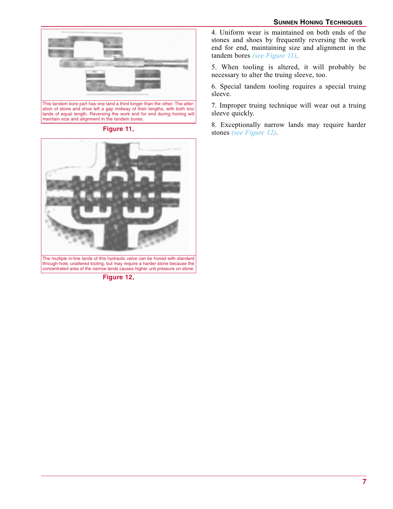#### **SUNNEN HONING TECHNIQUES**





concentrated area of the narrow lands causes higher unit pressure on stone.

**Figure 12,** 

4. Uniform wear is maintained on both ends of the stones and shoes by frequently reversing the work end for end, maintaining size and alignment in the tandem bores *(see Figure 11)*.

5. When tooling is altered, it will probably be necessary to alter the truing sleeve, too.

6. Special tandem tooling requires a special truing sleeve.

7. Improper truing technique will wear out a truing sleeve quickly.

8. Exceptionally narrow lands may require harder Figure 11, **Figure 11, Figure 11, Figure 12**, **Figure 12**.